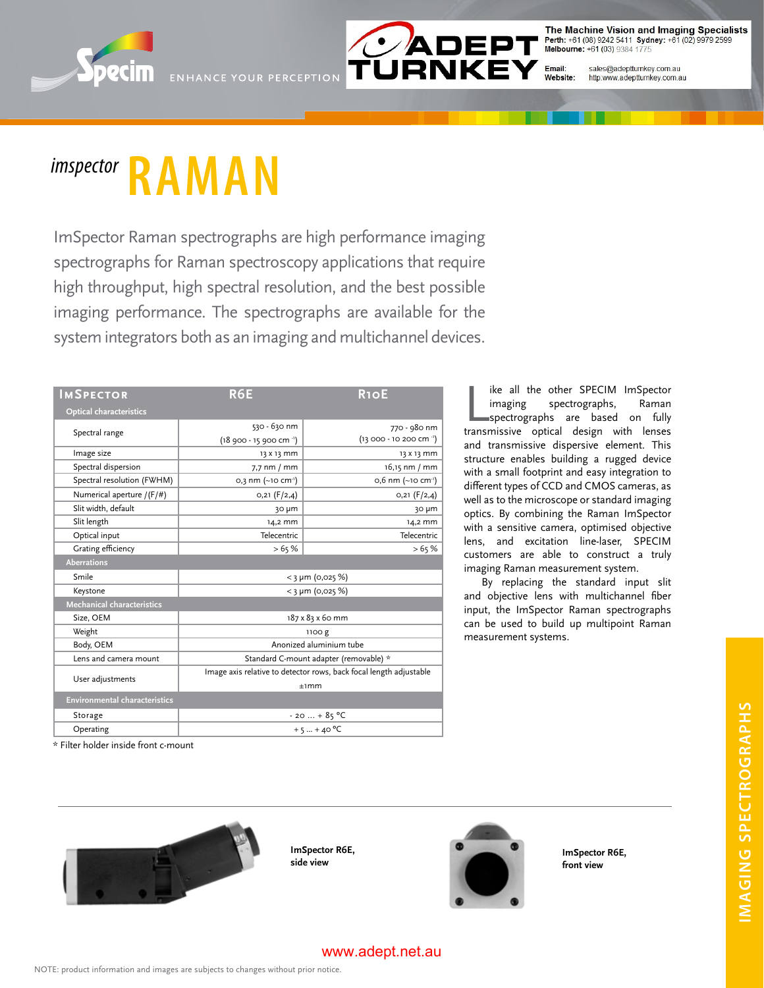



The Machine Vision and Imaging Specialists Perth: +61 (08) 9242 5411 Sydney: +61 (02) 9979 2599<br>Melbourne: +61 (03) 9384 1775

Email:<br>Website: sales@adeptturnkey.com.au http:www.adeptturnkey.com.au

# *imspector* **RAMAN**

ImSpector Raman spectrographs are high performance imaging spectrographs for Raman spectroscopy applications that require high throughput, high spectral resolution, and the best possible imaging performance. The spectrographs are available for the system integrators both as an imaging and multichannel devices.

| <b>IMSPECTOR</b>                     | R6E                                                                | <b>R10E</b>                    |
|--------------------------------------|--------------------------------------------------------------------|--------------------------------|
| <b>Optical characteristics</b>       |                                                                    |                                |
| Spectral range                       | 530 - 630 nm                                                       | 770 - 980 nm                   |
|                                      | $(18,900 - 15,900 \text{ cm}^{-1})$                                | (13 000 - 10 200 cm · 1)       |
| Image size                           | 13 X 13 mm                                                         | 13 X 13 mm                     |
| Spectral dispersion                  | $7.7$ nm $/$ mm                                                    | 16,15 nm / mm                  |
| Spectral resolution (FWHM)           | 0,3 nm (~10 cm <sup>-1</sup> )                                     | 0,6 nm (~10 cm <sup>-1</sup> ) |
| Numerical aperture /(F/#)            | 0,21 (F/2,4)                                                       | $0,21$ (F/2,4)                 |
| Slit width, default                  | 30 µm                                                              | 30 µm                          |
| Slit length                          | 14,2 mm                                                            | 14,2 mm                        |
| Optical input                        | Telecentric                                                        | Telecentric                    |
| Grating efficiency                   | >65%                                                               | >65%                           |
| <b>Aberrations</b>                   |                                                                    |                                |
| Smile                                | $<$ 3 µm (0,025 %)                                                 |                                |
| Keystone                             | $<$ 3 µm (0,025 %)                                                 |                                |
| <b>Mechanical characteristics</b>    |                                                                    |                                |
| Size, OEM                            | 187 x 83 x 60 mm                                                   |                                |
| Weight                               | 1100 g                                                             |                                |
| Body, OEM                            | Anonized aluminium tube                                            |                                |
| Lens and camera mount                | Standard C-mount adapter (removable) *                             |                                |
| User adjustments                     | Image axis relative to detector rows, back focal length adjustable |                                |
|                                      | $+1mm$                                                             |                                |
| <b>Environmental characteristics</b> |                                                                    |                                |
| Storage                              | $-20+85$ °C                                                        |                                |
| Operating                            | $+5+40 °C$                                                         |                                |

ike all the other SPECIM ImSpector<br>
imaging spectrographs, Raman<br>
spectrographs are based on fully<br>
transmissive optical design with lenses imaging spectrographs, Raman spectrographs are based on fully and transmissive dispersive element. This structure enables building a rugged device with a small footprint and easy integration to different types of CCD and CMOS cameras, as well as to the microscope or standard imaging optics. By combining the Raman ImSpector with a sensitive camera, optimised objective lens, and excitation line-laser, SPECIM customers are able to construct a truly imaging Raman measurement system.

ike all the other SPECIM ImSpector

By replacing the standard input slit and objective lens with multichannel fiber input, the ImSpector Raman spectrographs can be used to build up multipoint Raman measurement systems.

\* Filter holder inside front c-mount



**ImSpector R6E, side view**



**ImSpector R6E, front view**

#### www.adept.net.au